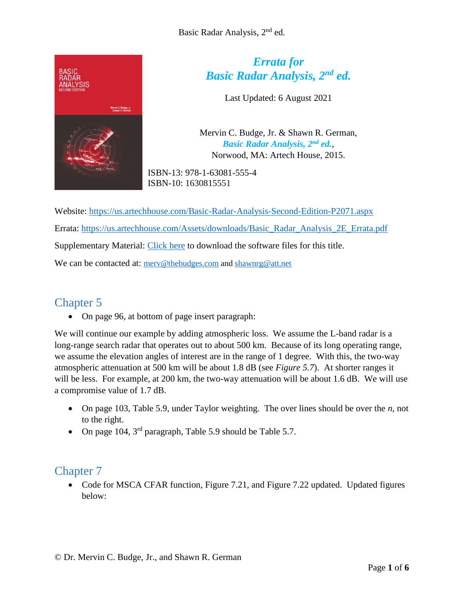

# *Errata for Basic Radar Analysis, 2nd ed.*

Last Updated: 6 August 2021

Mervin C. Budge, Jr. & Shawn R. German, *Basic Radar Analysis, 2nd ed.*, Norwood, MA: Artech House, 2015.

ISBN-13: 978-1-63081-555-4 ISBN-10: 1630815551

Website:<https://us.artechhouse.com/Basic-Radar-Analysis-Second-Edition-P2071.aspx> Errata: [https://us.artechhouse.com/Assets/downloads/Basic\\_Radar\\_Analysis\\_2E\\_Errata.pdf](https://us.artechhouse.com/Assets/downloads/Basic_Radar_Analysis_2E_Errata.pdf) Supplementary Material: [Click here](https://us.artechhouse.com/Assets/downloads/budge_555.zip) to download the software files for this title. We can be contacted at: [merv@thebudges.com](mailto:merv@thebudges.com) and [shawnrg@att.net](mailto:shawnrg@att.net)

# Chapter 5

On page 96, at bottom of page insert paragraph:

We will continue our example by adding atmospheric loss. We assume the L-band radar is a long-range search radar that operates out to about 500 km. Because of its long operating range, we assume the elevation angles of interest are in the range of 1 degree. With this, the two-way atmospheric attenuation at 500 km will be about 1.8 dB (see *Figure 5.7*). At shorter ranges it will be less. For example, at 200 km, the two-way attenuation will be about 1.6 dB. We will use a compromise value of 1.7 dB.

- On page 103, Table 5.9, under Taylor weighting. The over lines should be over the *n*, not to the right.
- On page 104,  $3<sup>rd</sup>$  paragraph, Table 5.9 should be Table 5.7.

## Chapter 7

• Code for MSCA CFAR function, Figure 7.21, and Figure 7.22 updated. Updated figures below: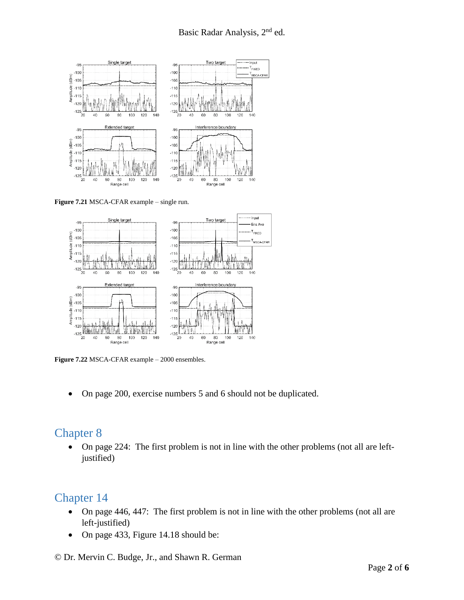

**Figure 7.21** MSCA-CFAR example – single run.



**Figure 7.22** MSCA-CFAR example – 2000 ensembles.

On page 200, exercise numbers 5 and 6 should not be duplicated.

#### Chapter 8

 On page 224: The first problem is not in line with the other problems (not all are leftjustified)

# Chapter 14

- On page 446, 447: The first problem is not in line with the other problems (not all are left-justified)
- On page 433, Figure 14.18 should be:

© Dr. Mervin C. Budge, Jr., and Shawn R. German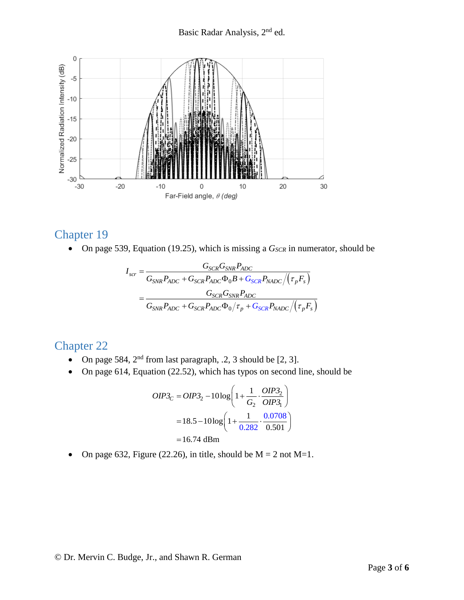

#### Chapter 19

• On page 539, Equation (19.25), which is missing a 
$$
G_{SCR}
$$
 in numerator, should be  
\n
$$
I_{scr} = \frac{G_{SCR}G_{SNR}P_{ADC}}{G_{SNR}P_{ADC} + G_{SCR}P_{ADC}\Phi_0B + G_{SCR}P_{NADC}/(\tau_pF_s)}
$$
\n
$$
= \frac{G_{SCR}G_{SNR}P_{ADC}}{G_{SNR}P_{ADC} + G_{SCR}P_{ADC}\Phi_0/\tau_p + G_{SCR}P_{NADC}/(\tau_pF_s)}
$$

#### Chapter 22

- On page 584,  $2<sup>nd</sup>$  from last paragraph, .2, 3 should be [2, 3].
- On page 614, Equation (22.52), which has typos on second line, should be

$$
OIP3_C = OIP3_2 - 10\log\left(1 + \frac{1}{G_2} \cdot \frac{OIP3_2}{OIP3_1}\right)
$$
  
= 18.5 - 10\log\left(1 + \frac{1}{0.282} \cdot \frac{0.0708}{0.501}\right)  
= 16.74 dBm

• On page 632, Figure (22.26), in title, should be  $M = 2$  not  $M=1$ .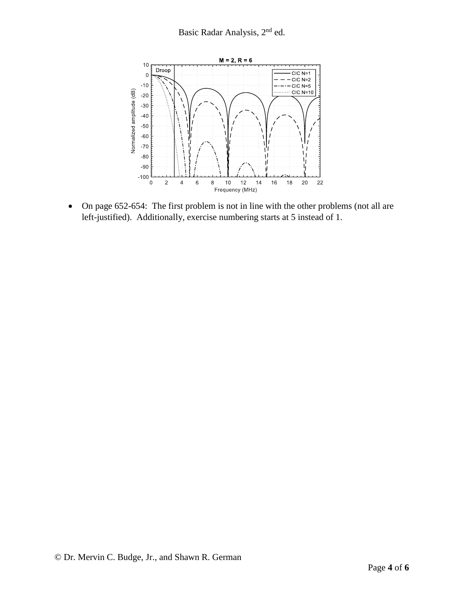

• On page 652-654: The first problem is not in line with the other problems (not all are left-justified). Additionally, exercise numbering starts at 5 instead of 1.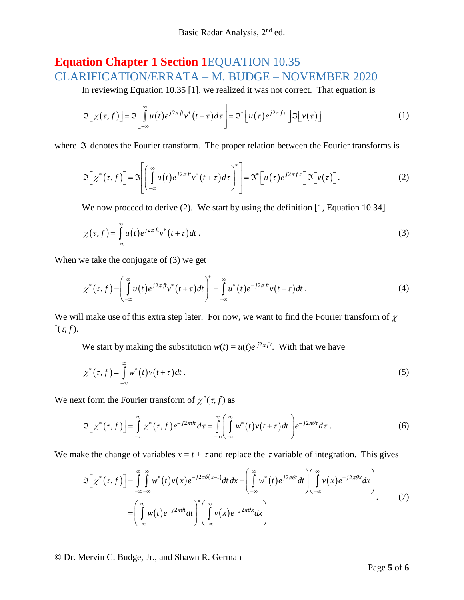# **Equation Chapter 1 Section 1**EQUATION 10.35 CLARIFICATION/ERRATA – M. BUDGE – NOVEMBER 2020

In reviewing Equation 10.35 [1], we realized it was not correct. That equation is

$$
\mathfrak{I}\big[\chi(\tau,f)\big]=\mathfrak{I}\bigg[\int\limits_{-\infty}^{\infty}u(t)e^{j2\pi ft}v^*(t+\tau)d\tau\bigg]=\mathfrak{I}^*\big[u(\tau)e^{j2\pi ft}\big]\mathfrak{I}\big[v(\tau)\big]
$$
 (1)

where  $\Im$  denotes the Fourier transform. The proper relation between the Fourier transforms is

$$
\mathfrak{I}\Big[\chi^*(\tau,f)\Big]=\mathfrak{I}\Bigg[\Big(\int\limits_{-\infty}^{\infty}u(t)e^{j2\pi ft}v^*(t+\tau)d\tau\Big)^*\Bigg]=\mathfrak{I}^*\Big[u(\tau)e^{j2\pi ft}\Big]\mathfrak{I}\Big[v(\tau)\Big].\tag{2}
$$

We now proceed to derive (2). We start by using the definition [1, Equation 10.34]

$$
\chi(\tau, f) = \int_{-\infty}^{\infty} u(t) e^{j2\pi f t} v^*(t + \tau) dt.
$$
\n(3)

When we take the conjugate of (3) we get

$$
\chi^*(\tau,f) = \left(\int\limits_{-\infty}^{\infty} u(t)e^{j2\pi ft}v^*(t+\tau)dt\right)^* = \int\limits_{-\infty}^{\infty} u^*(t)e^{-j2\pi ft}v(t+\tau)dt.
$$
\n(4)

We will make use of this extra step later. For now, we want to find the Fourier transform of  $\chi$  $^*(\tau, f).$ 

We start by making the substitution  $w(t) = u(t)e^{j2\pi ft}$ . With that we have

$$
\chi^*(\tau, f) = \int_{-\infty}^{\infty} w^*(t) v(t + \tau) dt.
$$
\n(5)

We next form the Fourier transform of  $\chi^*(\tau, f)$  as

$$
\mathfrak{I}\Big[\chi^*(\tau,f)\Big] = \int\limits_{-\infty}^{\infty} \chi^*(\tau,f) e^{-j2\pi\theta\tau} d\tau = \int\limits_{-\infty}^{\infty} \Biggl(\int\limits_{-\infty}^{\infty} w^*(t) v(t+\tau) dt\Biggr) e^{-j2\pi\theta\tau} d\tau \,.
$$

We make the change of variables  $x = t + \tau$  and replace the  $\tau$  variable of integration. This gives

$$
\mathfrak{I}\Big[\chi^*(\tau,f)\Big] = \int_{-\infty}^{\infty} \int_{-\infty}^{\infty} w^*(t) \nu(x) e^{-j2\pi\theta(x-t)} dt dx = \left(\int_{-\infty}^{\infty} w^*(t) e^{j2\pi\theta t} dt\right) \left(\int_{-\infty}^{\infty} \nu(x) e^{-j2\pi\theta x} dx\right)
$$

$$
= \left(\int_{-\infty}^{\infty} w(t) e^{-j2\pi\theta t} dt\right)^* \left(\int_{-\infty}^{\infty} \nu(x) e^{-j2\pi\theta x} dx\right)
$$
(7)

© Dr. Mervin C. Budge, Jr., and Shawn R. German